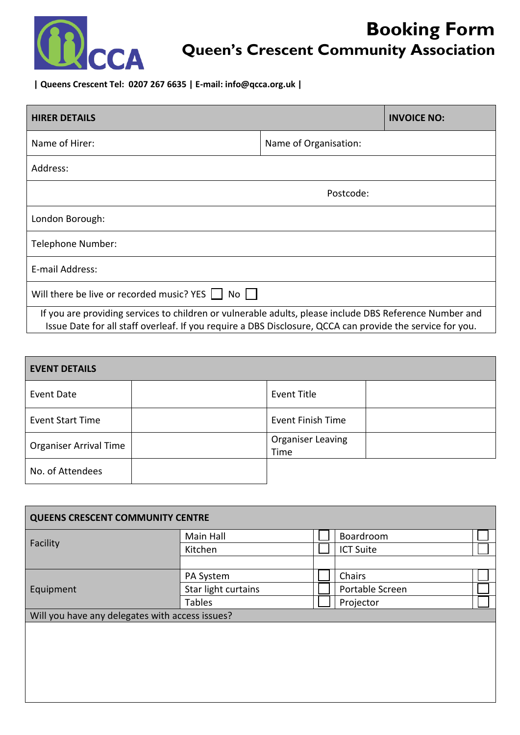

# **Booking Form Queen's Crescent Community Association**

**| Queens Crescent Tel: 0207 267 6635 | E-mail: info@qcca.org.uk |** 

| <b>HIRER DETAILS</b>                                                                                                                                                                                                 | <b>INVOICE NO:</b>    |  |  |  |  |
|----------------------------------------------------------------------------------------------------------------------------------------------------------------------------------------------------------------------|-----------------------|--|--|--|--|
| Name of Hirer:                                                                                                                                                                                                       | Name of Organisation: |  |  |  |  |
| Address:                                                                                                                                                                                                             |                       |  |  |  |  |
| Postcode:                                                                                                                                                                                                            |                       |  |  |  |  |
| London Borough:                                                                                                                                                                                                      |                       |  |  |  |  |
| Telephone Number:                                                                                                                                                                                                    |                       |  |  |  |  |
| E-mail Address:                                                                                                                                                                                                      |                       |  |  |  |  |
| Will there be live or recorded music? YES  <br>$No$                                                                                                                                                                  |                       |  |  |  |  |
| If you are providing services to children or vulnerable adults, please include DBS Reference Number and<br>Issue Date for all staff overleaf. If you require a DBS Disclosure, QCCA can provide the service for you. |                       |  |  |  |  |

| <b>EVENT DETAILS</b>          |                                  |
|-------------------------------|----------------------------------|
| Event Date                    | <b>Event Title</b>               |
| <b>Event Start Time</b>       | <b>Event Finish Time</b>         |
| <b>Organiser Arrival Time</b> | <b>Organiser Leaving</b><br>Time |
| No. of Attendees              |                                  |

| <b>QUEENS CRESCENT COMMUNITY CENTRE</b>         |                     |  |                  |  |
|-------------------------------------------------|---------------------|--|------------------|--|
| Facility                                        | Main Hall           |  | Boardroom        |  |
|                                                 | Kitchen             |  | <b>ICT Suite</b> |  |
|                                                 |                     |  |                  |  |
| Equipment                                       | PA System           |  | Chairs           |  |
|                                                 | Star light curtains |  | Portable Screen  |  |
|                                                 | <b>Tables</b>       |  | Projector        |  |
| Will you have any delegates with access issues? |                     |  |                  |  |
|                                                 |                     |  |                  |  |
|                                                 |                     |  |                  |  |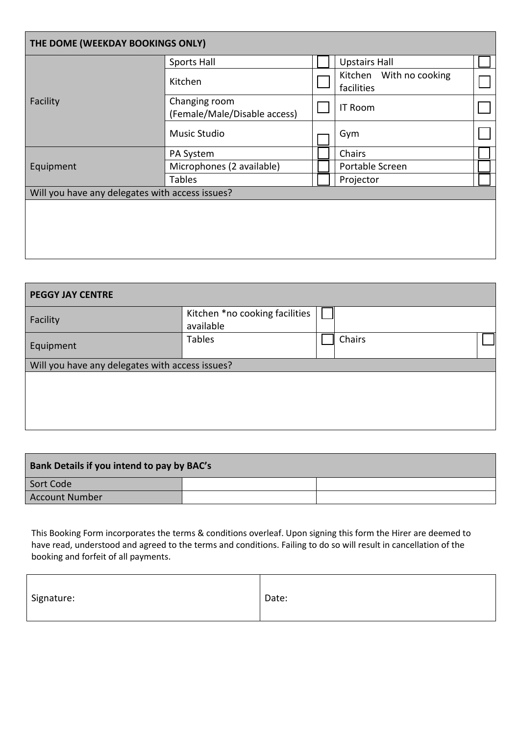| THE DOME (WEEKDAY BOOKINGS ONLY) |                                                 |  |                                       |  |  |
|----------------------------------|-------------------------------------------------|--|---------------------------------------|--|--|
| Facility                         | Sports Hall                                     |  | <b>Upstairs Hall</b>                  |  |  |
|                                  | Kitchen                                         |  | Kitchen With no cooking<br>facilities |  |  |
|                                  | Changing room<br>(Female/Male/Disable access)   |  | <b>IT Room</b>                        |  |  |
|                                  | Music Studio                                    |  | Gym                                   |  |  |
|                                  | PA System                                       |  | Chairs                                |  |  |
| Equipment                        | Microphones (2 available)                       |  | Portable Screen                       |  |  |
|                                  | <b>Tables</b>                                   |  | Projector                             |  |  |
|                                  | Will you have any delegates with access issues? |  |                                       |  |  |
|                                  |                                                 |  |                                       |  |  |
|                                  |                                                 |  |                                       |  |  |
|                                  |                                                 |  |                                       |  |  |
|                                  |                                                 |  |                                       |  |  |

| <b>PEGGY JAY CENTRE</b>                         |                                             |  |        |  |
|-------------------------------------------------|---------------------------------------------|--|--------|--|
| Facility                                        | Kitchen *no cooking facilities<br>available |  |        |  |
| Equipment                                       | <b>Tables</b>                               |  | Chairs |  |
| Will you have any delegates with access issues? |                                             |  |        |  |
|                                                 |                                             |  |        |  |
|                                                 |                                             |  |        |  |
|                                                 |                                             |  |        |  |
|                                                 |                                             |  |        |  |

| <b>Bank Details if you intend to pay by BAC's</b> |  |  |  |  |
|---------------------------------------------------|--|--|--|--|
| Sort Code                                         |  |  |  |  |
| Account Number                                    |  |  |  |  |

This Booking Form incorporates the terms & conditions overleaf. Upon signing this form the Hirer are deemed to have read, understood and agreed to the terms and conditions. Failing to do so will result in cancellation of the booking and forfeit of all payments.

| Signature: | Date: |
|------------|-------|
|------------|-------|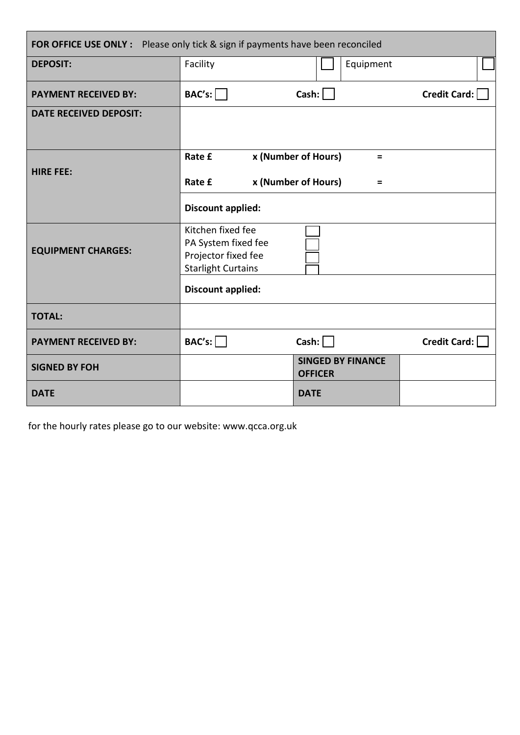| FOR OFFICE USE ONLY : Please only tick & sign if payments have been reconciled |                                                                                              |                                                             |              |  |
|--------------------------------------------------------------------------------|----------------------------------------------------------------------------------------------|-------------------------------------------------------------|--------------|--|
| <b>DEPOSIT:</b>                                                                | Facility                                                                                     | Equipment                                                   |              |  |
| <b>PAYMENT RECEIVED BY:</b>                                                    | BAC's:                                                                                       | Cash:                                                       | Credit Card: |  |
| <b>DATE RECEIVED DEPOSIT:</b>                                                  |                                                                                              |                                                             |              |  |
| <b>HIRE FEE:</b>                                                               | Rate £<br>Rate £                                                                             | x (Number of Hours)<br>$\equiv$<br>x (Number of Hours)<br>Ξ |              |  |
|                                                                                | Discount applied:                                                                            |                                                             |              |  |
| <b>EQUIPMENT CHARGES:</b>                                                      | Kitchen fixed fee<br>PA System fixed fee<br>Projector fixed fee<br><b>Starlight Curtains</b> |                                                             |              |  |
|                                                                                | Discount applied:                                                                            |                                                             |              |  |
| <b>TOTAL:</b>                                                                  |                                                                                              |                                                             |              |  |
| <b>PAYMENT RECEIVED BY:</b>                                                    | BAC's:                                                                                       | Cash:                                                       | Credit Card: |  |
| <b>SIGNED BY FOH</b>                                                           |                                                                                              | <b>SINGED BY FINANCE</b><br><b>OFFICER</b>                  |              |  |
| <b>DATE</b>                                                                    |                                                                                              | <b>DATE</b>                                                 |              |  |

for the hourly rates please go to our website: www.qcca.org.uk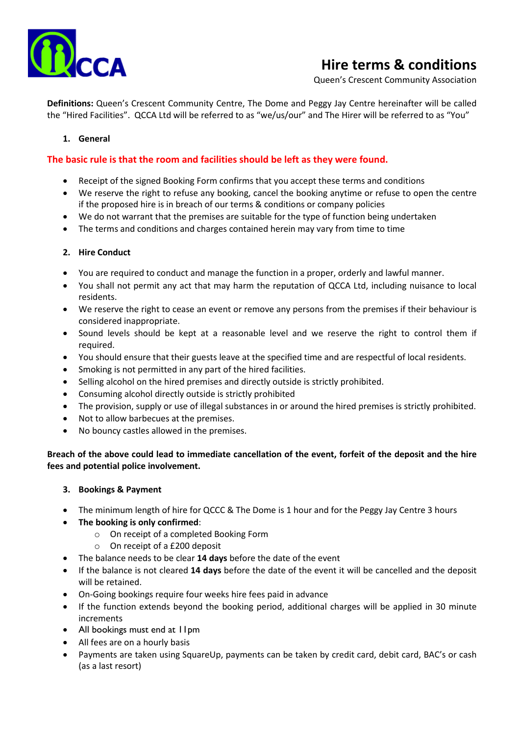

# **Hire terms & conditions**

Queen's Crescent Community Association

**Definitions:** Queen's Crescent Community Centre, The Dome and Peggy Jay Centre hereinafter will be called the "Hired Facilities". QCCA Ltd will be referred to as "we/us/our" and The Hirer will be referred to as "You"

### **1. General**

# **The basic rule is that the room and facilities should be left as they were found.**

- Receipt of the signed Booking Form confirms that you accept these terms and conditions
- We reserve the right to refuse any booking, cancel the booking anytime or refuse to open the centre if the proposed hire is in breach of our terms & conditions or company policies
- We do not warrant that the premises are suitable for the type of function being undertaken
- The terms and conditions and charges contained herein may vary from time to time

#### **2. Hire Conduct**

- You are required to conduct and manage the function in a proper, orderly and lawful manner.
- You shall not permit any act that may harm the reputation of QCCA Ltd, including nuisance to local residents.
- We reserve the right to cease an event or remove any persons from the premises if their behaviour is considered inappropriate.
- Sound levels should be kept at a reasonable level and we reserve the right to control them if required.
- You should ensure that their guests leave at the specified time and are respectful of local residents.
- Smoking is not permitted in any part of the hired facilities.
- Selling alcohol on the hired premises and directly outside is strictly prohibited.
- Consuming alcohol directly outside is strictly prohibited
- The provision, supply or use of illegal substances in or around the hired premises is strictly prohibited.
- Not to allow barbecues at the premises.
- No bouncy castles allowed in the premises.

**Breach of the above could lead to immediate cancellation of the event, forfeit of the deposit and the hire fees and potential police involvement.**

- **3. Bookings & Payment**
- The minimum length of hire for QCCC & The Dome is 1 hour and for the Peggy Jay Centre 3 hours
- **The booking is only confirmed**:
	- o On receipt of a completed Booking Form
	- o On receipt of a £200 deposit
- The balance needs to be clear **14 days** before the date of the event
- If the balance is not cleared **14 days** before the date of the event it will be cancelled and the deposit will be retained.
- On-Going bookings require four weeks hire fees paid in advance
- If the function extends beyond the booking period, additional charges will be applied in 30 minute increments
- All bookings must end at 11pm
- All fees are on a hourly basis
- Payments are taken using SquareUp, payments can be taken by credit card, debit card, BAC's or cash (as a last resort)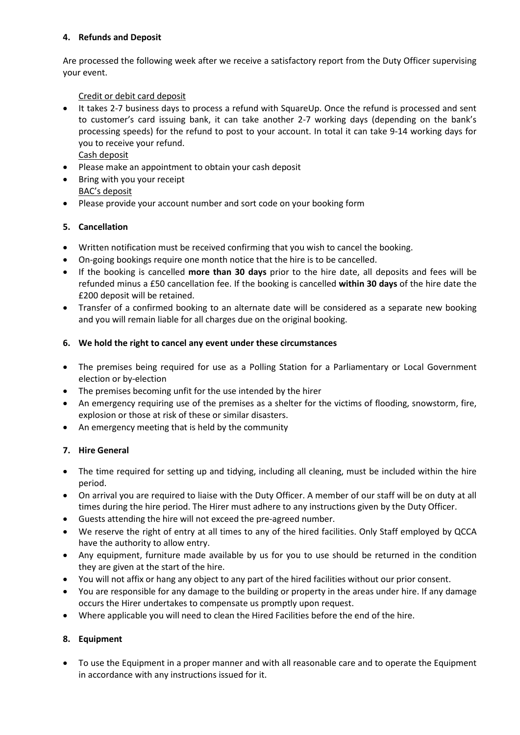# **4. Refunds and Deposit**

Are processed the following week after we receive a satisfactory report from the Duty Officer supervising your event.

# Credit or debit card deposit

- It takes 2-7 business days to process a refund with SquareUp. Once the refund is processed and sent to customer's card issuing bank, it can take another 2-7 working days (depending on the bank's processing speeds) for the refund to post to your account. In total it can take 9-14 working days for you to receive your refund. Cash deposit
- Please make an appointment to obtain your cash deposit
- Bring with you your receipt BAC's deposit
- Please provide your account number and sort code on your booking form

# **5. Cancellation**

- Written notification must be received confirming that you wish to cancel the booking.
- On-going bookings require one month notice that the hire is to be cancelled.
- If the booking is cancelled **more than 30 days** prior to the hire date, all deposits and fees will be refunded minus a £50 cancellation fee. If the booking is cancelled **within 30 days** of the hire date the £200 deposit will be retained.
- Transfer of a confirmed booking to an alternate date will be considered as a separate new booking and you will remain liable for all charges due on the original booking.

#### **6. We hold the right to cancel any event under these circumstances**

- The premises being required for use as a Polling Station for a Parliamentary or Local Government election or by-election
- The premises becoming unfit for the use intended by the hirer
- An emergency requiring use of the premises as a shelter for the victims of flooding, snowstorm, fire, explosion or those at risk of these or similar disasters.
- An emergency meeting that is held by the community

# **7. Hire General**

- The time required for setting up and tidying, including all cleaning, must be included within the hire period.
- On arrival you are required to liaise with the Duty Officer. A member of our staff will be on duty at all times during the hire period. The Hirer must adhere to any instructions given by the Duty Officer.
- Guests attending the hire will not exceed the pre-agreed number.
- We reserve the right of entry at all times to any of the hired facilities. Only Staff employed by QCCA have the authority to allow entry.
- Any equipment, furniture made available by us for you to use should be returned in the condition they are given at the start of the hire.
- You will not affix or hang any object to any part of the hired facilities without our prior consent.
- You are responsible for any damage to the building or property in the areas under hire. If any damage occurs the Hirer undertakes to compensate us promptly upon request.
- Where applicable you will need to clean the Hired Facilities before the end of the hire.

# **8. Equipment**

• To use the Equipment in a proper manner and with all reasonable care and to operate the Equipment in accordance with any instructions issued for it.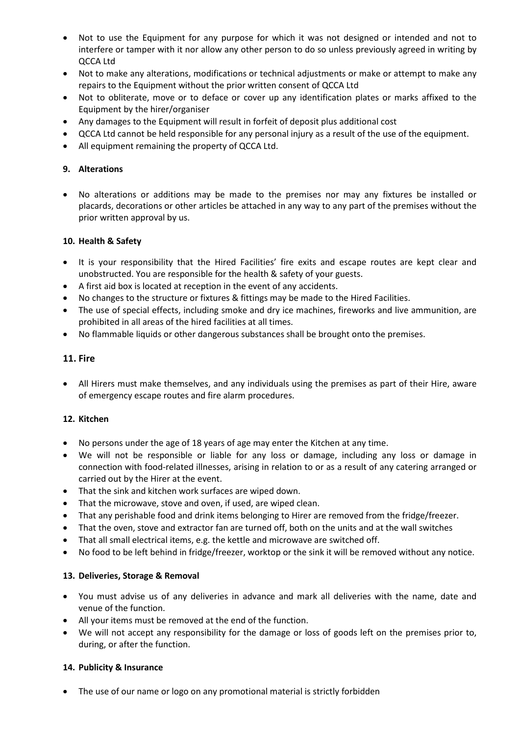- Not to use the Equipment for any purpose for which it was not designed or intended and not to interfere or tamper with it nor allow any other person to do so unless previously agreed in writing by QCCA Ltd
- Not to make any alterations, modifications or technical adjustments or make or attempt to make any repairs to the Equipment without the prior written consent of QCCA Ltd
- Not to obliterate, move or to deface or cover up any identification plates or marks affixed to the Equipment by the hirer/organiser
- Any damages to the Equipment will result in forfeit of deposit plus additional cost
- QCCA Ltd cannot be held responsible for any personal injury as a result of the use of the equipment.
- All equipment remaining the property of QCCA Ltd.

### **9. Alterations**

• No alterations or additions may be made to the premises nor may any fixtures be installed or placards, decorations or other articles be attached in any way to any part of the premises without the prior written approval by us.

#### **10. Health & Safety**

- It is your responsibility that the Hired Facilities' fire exits and escape routes are kept clear and unobstructed. You are responsible for the health & safety of your guests.
- A first aid box is located at reception in the event of any accidents.
- No changes to the structure or fixtures & fittings may be made to the Hired Facilities.
- The use of special effects, including smoke and dry ice machines, fireworks and live ammunition, are prohibited in all areas of the hired facilities at all times.
- No flammable liquids or other dangerous substances shall be brought onto the premises.

#### **11. Fire**

• All Hirers must make themselves, and any individuals using the premises as part of their Hire, aware of emergency escape routes and fire alarm procedures.

#### **12. Kitchen**

- No persons under the age of 18 years of age may enter the Kitchen at any time.
- We will not be responsible or liable for any loss or damage, including any loss or damage in connection with food-related illnesses, arising in relation to or as a result of any catering arranged or carried out by the Hirer at the event.
- That the sink and kitchen work surfaces are wiped down.
- That the microwave, stove and oven, if used, are wiped clean.
- That any perishable food and drink items belonging to Hirer are removed from the fridge/freezer.
- That the oven, stove and extractor fan are turned off, both on the units and at the wall switches
- That all small electrical items, e.g. the kettle and microwave are switched off.
- No food to be left behind in fridge/freezer, worktop or the sink it will be removed without any notice.

#### **13. Deliveries, Storage & Removal**

- You must advise us of any deliveries in advance and mark all deliveries with the name, date and venue of the function.
- All your items must be removed at the end of the function.
- We will not accept any responsibility for the damage or loss of goods left on the premises prior to, during, or after the function.

#### **14. Publicity & Insurance**

• The use of our name or logo on any promotional material is strictly forbidden